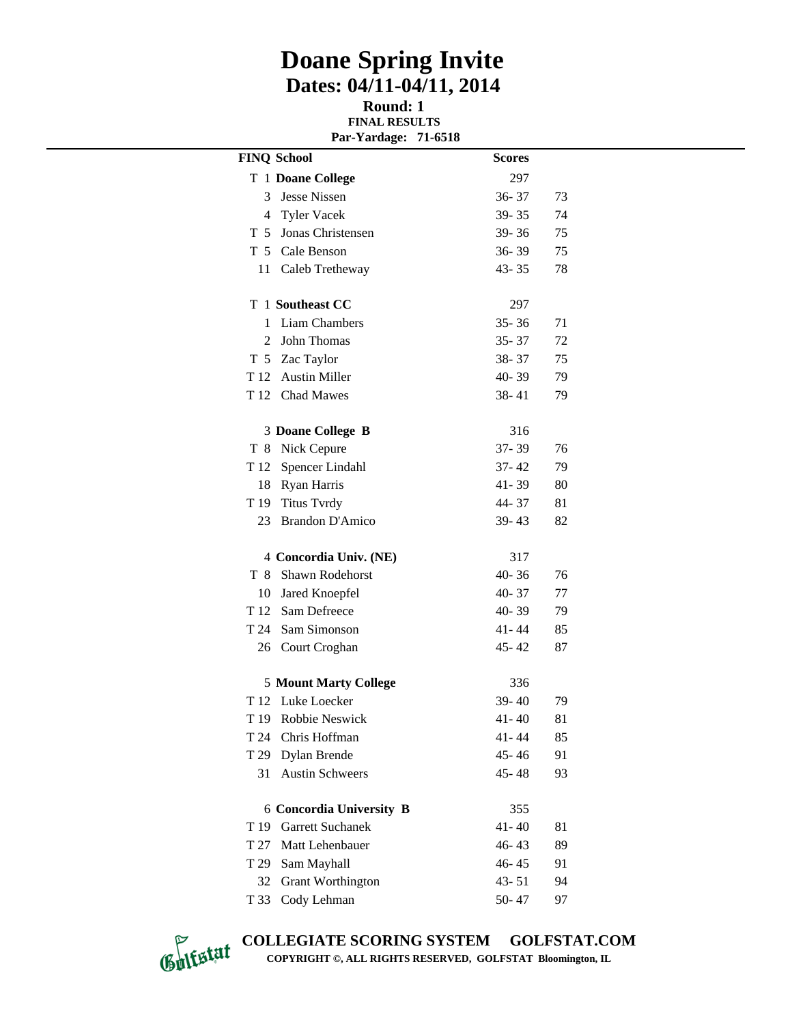## **Doane Spring Invite Dates: 04/11-04/11, 2014**

**Round: 1 FINAL RESULTS Par-Yardage: 71-6518**

|                 | <b>FINQ School</b>              | <b>Scores</b> |    |
|-----------------|---------------------------------|---------------|----|
|                 | T 1 Doane College               | 297           |    |
| 3               | <b>Jesse Nissen</b>             | $36 - 37$     | 73 |
|                 | 4 Tyler Vacek                   | 39-35         | 74 |
|                 | T 5 Jonas Christensen           | 39-36         | 75 |
|                 | T 5 Cale Benson                 | $36 - 39$     | 75 |
| 11              | Caleb Tretheway                 | $43 - 35$     | 78 |
|                 | T 1 Southeast CC                | 297           |    |
| 1               | <b>Liam Chambers</b>            | $35 - 36$     | 71 |
| 2               | John Thomas                     | $35 - 37$     | 72 |
|                 | T 5 Zac Taylor                  | 38-37         | 75 |
|                 | T 12 Austin Miller              | $40 - 39$     | 79 |
|                 | T 12 Chad Mawes                 | $38 - 41$     | 79 |
|                 | 3 Doane College B               | 316           |    |
| T 8             | Nick Cepure                     | $37 - 39$     | 76 |
|                 | T 12 Spencer Lindahl            | 37-42         | 79 |
| 18              | Ryan Harris                     | 41-39         | 80 |
| T 19            | <b>Titus Tvrdy</b>              | 44-37         | 81 |
| 23              | <b>Brandon D'Amico</b>          | 39-43         | 82 |
|                 | 4 Concordia Univ. (NE)          | 317           |    |
| T 8             | Shawn Rodehorst                 | $40 - 36$     | 76 |
|                 | 10 Jared Knoepfel               | $40 - 37$     | 77 |
|                 | T 12 Sam Defreece               | 40-39         | 79 |
|                 | T 24 Sam Simonson               | 41-44         | 85 |
| 26              | Court Croghan                   | $45 - 42$     | 87 |
|                 | <b>5 Mount Marty College</b>    | 336           |    |
| T 12            | Luke Loecker                    | 39-40         | 79 |
| T <sub>19</sub> | Robbie Neswick                  | $41 - 40$     | 81 |
| T 24            | Chris Hoffman                   | 41 - 44       | 85 |
| T 29            | Dylan Brende                    | $45 - 46$     | 91 |
| 31              | <b>Austin Schweers</b>          | $45 - 48$     | 93 |
|                 | <b>6 Concordia University B</b> | 355           |    |
|                 | T 19 Garrett Suchanek           | $41 - 40$     | 81 |
| T 27            | Matt Lehenbauer                 | 46-43         | 89 |
| T 29            | Sam Mayhall                     | $46 - 45$     | 91 |
| 32              | <b>Grant Worthington</b>        | $43 - 51$     | 94 |
| T 33            | Cody Lehman                     | $50 - 47$     | 97 |



**COLLEGIATE SCORING SYSTEM GOLFSTAT.COM COPYRIGHT ©, ALL RIGHTS RESERVED, GOLFSTAT Bloomington, IL**